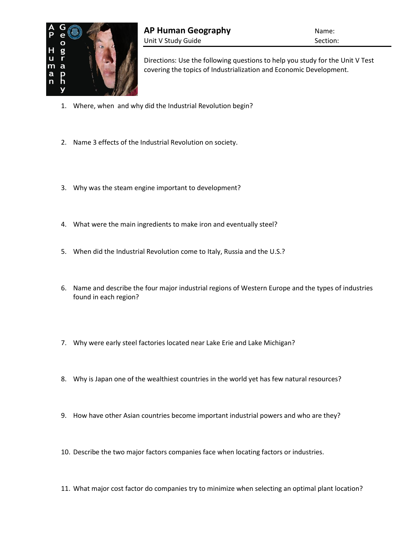

Directions: Use the following questions to help you study for the Unit V Test covering the topics of Industrialization and Economic Development.

- 1. Where, when and why did the Industrial Revolution begin?
- 2. Name 3 effects of the Industrial Revolution on society.
- 3. Why was the steam engine important to development?
- 4. What were the main ingredients to make iron and eventually steel?
- 5. When did the Industrial Revolution come to Italy, Russia and the U.S.?
- 6. Name and describe the four major industrial regions of Western Europe and the types of industries found in each region?
- 7. Why were early steel factories located near Lake Erie and Lake Michigan?
- 8. Why is Japan one of the wealthiest countries in the world yet has few natural resources?
- 9. How have other Asian countries become important industrial powers and who are they?
- 10. Describe the two major factors companies face when locating factors or industries.
- 11. What major cost factor do companies try to minimize when selecting an optimal plant location?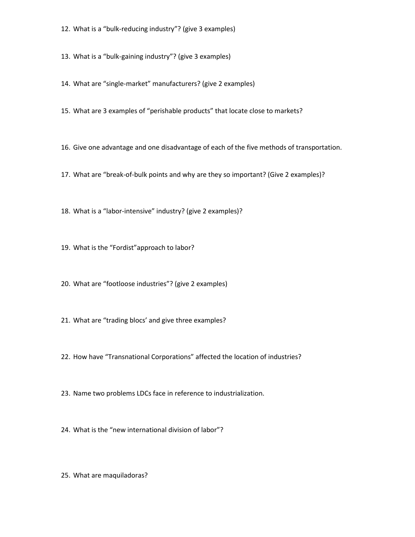- 12. What is a "bulk-reducing industry"? (give 3 examples)
- 13. What is a "bulk-gaining industry"? (give 3 examples)
- 14. What are "single-market" manufacturers? (give 2 examples)
- 15. What are 3 examples of "perishable products" that locate close to markets?
- 16. Give one advantage and one disadvantage of each of the five methods of transportation.
- 17. What are "break-of-bulk points and why are they so important? (Give 2 examples)?
- 18. What is a "labor-intensive" industry? (give 2 examples)?
- 19. What is the "Fordist"approach to labor?
- 20. What are "footloose industries"? (give 2 examples)
- 21. What are "trading blocs' and give three examples?
- 22. How have "Transnational Corporations" affected the location of industries?
- 23. Name two problems LDCs face in reference to industrialization.
- 24. What is the "new international division of labor"?
- 25. What are maquiladoras?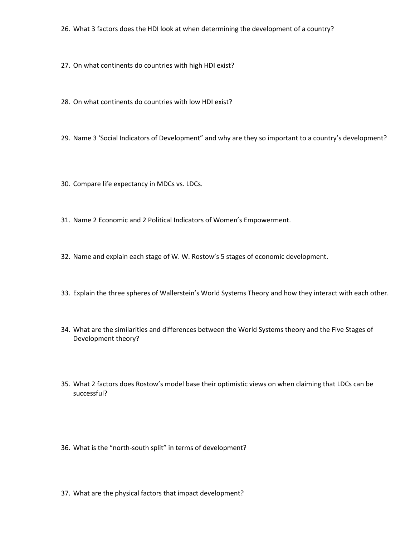- 26. What 3 factors does the HDI look at when determining the development of a country?
- 27. On what continents do countries with high HDI exist?
- 28. On what continents do countries with low HDI exist?
- 29. Name 3 'Social Indicators of Development" and why are they so important to a country's development?
- 30. Compare life expectancy in MDCs vs. LDCs.
- 31. Name 2 Economic and 2 Political Indicators of Women's Empowerment.
- 32. Name and explain each stage of W. W. Rostow's 5 stages of economic development.
- 33. Explain the three spheres of Wallerstein's World Systems Theory and how they interact with each other.
- 34. What are the similarities and differences between the World Systems theory and the Five Stages of Development theory?
- 35. What 2 factors does Rostow's model base their optimistic views on when claiming that LDCs can be successful?
- 36. What is the "north-south split" in terms of development?
- 37. What are the physical factors that impact development?